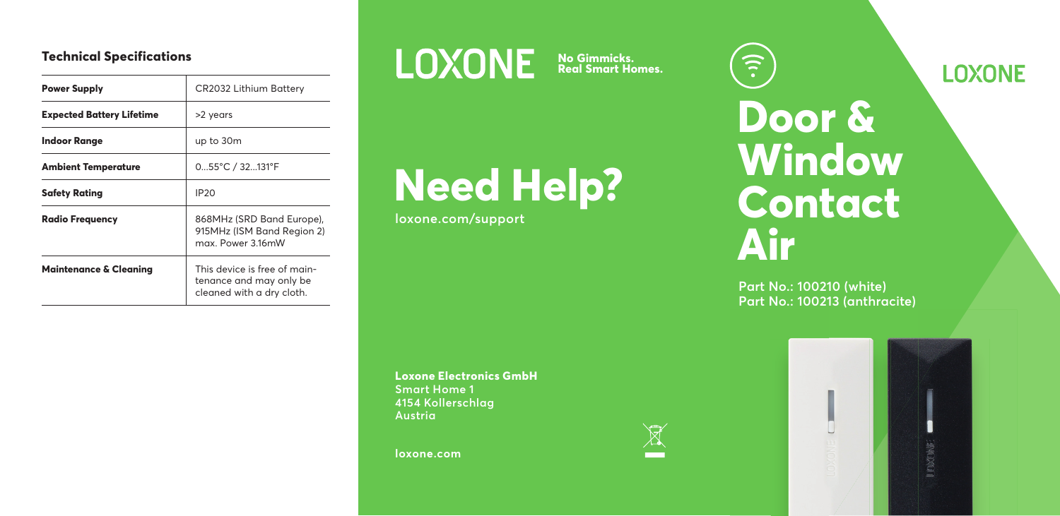## **Technical Specifications**

| <b>Power Supply</b>               | <b>CR2032 Lithium Battery</b>                                                        |
|-----------------------------------|--------------------------------------------------------------------------------------|
| <b>Expected Battery Lifetime</b>  | >2 years                                                                             |
| Indoor Range                      | up to 30m                                                                            |
| Ambient Temperature               | 055°C / 32131°F                                                                      |
| Safety Rating                     | <b>IP20</b>                                                                          |
| <b>Radio Freauencv</b>            | 868MHz (SRD Band Europe).<br>915MHz (ISM Band Region 2)<br>max Power 316mW           |
| <b>Maintenance &amp; Cleaning</b> | This device is free of main-<br>tenance and may only be<br>cleaned with a dry cloth. |



**No Gimmicks. Real Smart Homes.**

 $\underline{\mathbb{R}}$ 

# **Need Help?**

**loxone.com/support**

**Loxone Electronics GmbH Smart Home 1 4154 Kollerschlag Austria**

**loxone.com**

 $\widehat{\cdot}$ **Door & Window Contact Air**

**Part No.: 100210 (white) Part No.: 100213 (anthracite)**



**LOXONE**